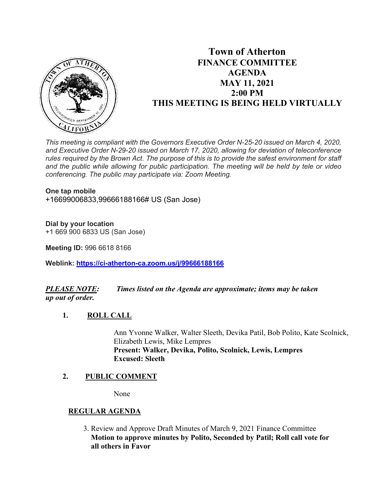

# **Town of Atherton FINANCE COMMITTEE AGENDA MAY 11, 2021 2:00 PM THIS MEETING IS BEING HELD VIRTUALLY**

*This meeting is compliant with the Governors Executive Order N-25-20 issued on March 4, 2020, and Executive Order N-29-20 issued on March 17, 2020, allowing for deviation of teleconference rules required by the Brown Act. The purpose of this is to provide the safest environment for staff and the public while allowing for public participation. The meeting will be held by tele or video conferencing. The public may participate via: Zoom Meeting.*

#### **One tap mobile**

+16699006833,99666188166# US (San Jose)

## **Dial by your location**

+1 669 900 6833 US (San Jose)

**Meeting ID:** 996 6618 8166

**Weblink: <https://ci-atherton-ca.zoom.us/j/99666188166>**

# *PLEASE NOTE: Times listed on the Agenda are approximate; items may be taken up out of order.*

## **1. ROLL CALL**

Ann Yvonne Walker, Walter Sleeth, Devika Patil, Bob Polito, Kate Scolnick, Elizabeth Lewis, Mike Lempres **Present: Walker, Devika, Polito, Scolnick, Lewis, Lempres Excused: Sleeth**

## **2. PUBLIC COMMENT**

None

# **REGULAR AGENDA**

 3. Review and Approve Draft Minutes of March 9, 2021 Finance Committee **Motion to approve minutes by Polito, Seconded by Patil; Roll call vote for all others in Favor**